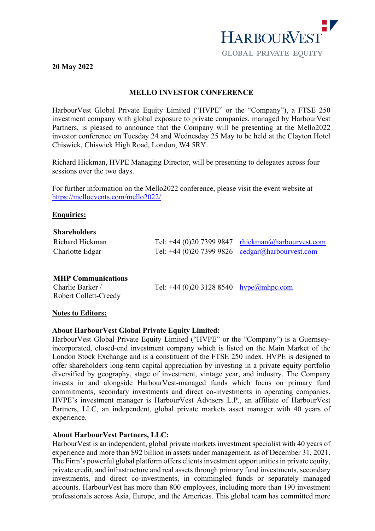

# **20 May 2022**

## **MELLO INVESTOR CONFERENCE**

HarbourVest Global Private Equity Limited ("HVPE" or the "Company"), a FTSE 250 investment company with global exposure to private companies, managed by HarbourVest Partners, is pleased to announce that the Company will be presenting at the Mello2022 investor conference on Tuesday 24 and Wednesday 25 May to be held at the Clayton Hotel Chiswick, Chiswick High Road, London, W4 5RY.

Richard Hickman, HVPE Managing Director, will be presenting to delegates across four sessions over the two days.

For further information on the Mello2022 conference, please visit the event website at [https://melloevents.com/mello2022/.](https://melloevents.com/mello2022/)

### **Enquiries:**

| <b>Shareholders</b>       |                                           |                                                      |
|---------------------------|-------------------------------------------|------------------------------------------------------|
| Richard Hickman           |                                           | Tel: +44 (0)20 7399 9847 $r$ hickman@harbourvest.com |
| Charlotte Edgar           |                                           | Tel: +44 (0)20 7399 9826 cedgar@harbourvest.com      |
|                           |                                           |                                                      |
| <b>MHP Communications</b> |                                           |                                                      |
| Charlie Barker /          | Tel: +44 (0)20 3128 8540 $hvp e@mhpc.com$ |                                                      |

### **Notes to Editors:**

Robert Collett-Creedy

### **About HarbourVest Global Private Equity Limited:**

HarbourVest Global Private Equity Limited ("HVPE" or the "Company") is a Guernseyincorporated, closed-end investment company which is listed on the Main Market of the London Stock Exchange and is a constituent of the FTSE 250 index. HVPE is designed to offer shareholders long-term capital appreciation by investing in a private equity portfolio diversified by geography, stage of investment, vintage year, and industry. The Company invests in and alongside HarbourVest-managed funds which focus on primary fund commitments, secondary investments and direct co-investments in operating companies. HVPE's investment manager is HarbourVest Advisers L.P., an affiliate of HarbourVest Partners, LLC, an independent, global private markets asset manager with 40 years of experience.

### **About HarbourVest Partners, LLC:**

HarbourVest is an independent, global private markets investment specialist with 40 years of experience and more than \$92 billion in assets under management, as of December 31, 2021. The Firm's powerful global platform offers clients investment opportunities in private equity, private credit, and infrastructure and real assets through primary fund investments, secondary investments, and direct co-investments, in commingled funds or separately managed accounts. HarbourVest has more than 800 employees, including more than 190 investment professionals across Asia, Europe, and the Americas. This global team has committed more